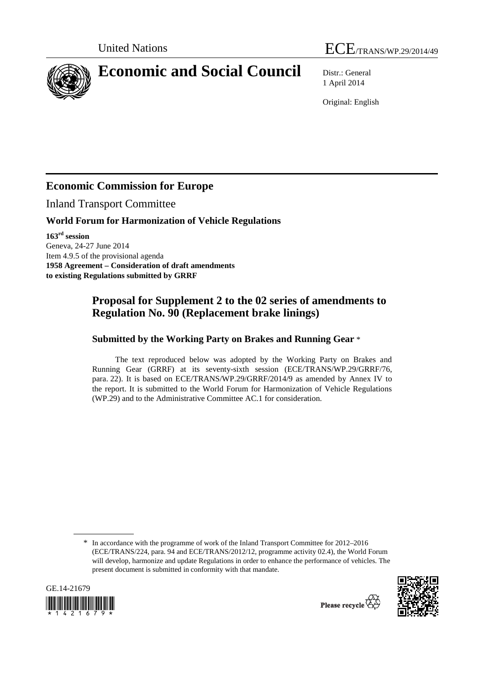



# **Economic and Social Council** Distr.: General

1 April 2014

Original: English

## **Economic Commission for Europe**

Inland Transport Committee

#### **World Forum for Harmonization of Vehicle Regulations**

**163rd session**  Geneva, 24-27 June 2014 Item 4.9.5 of the provisional agenda **1958 Agreement – Consideration of draft amendments to existing Regulations submitted by GRRF** 

### **Proposal for Supplement 2 to the 02 series of amendments to Regulation No. 90 (Replacement brake linings)**

#### **Submitted by the Working Party on Brakes and Running Gear** \*

The text reproduced below was adopted by the Working Party on Brakes and Running Gear (GRRF) at its seventy-sixth session (ECE/TRANS/WP.29/GRRF/76, para. 22). It is based on ECE/TRANS/WP.29/GRRF/2014/9 as amended by Annex IV to the report. It is submitted to the World Forum for Harmonization of Vehicle Regulations (WP.29) and to the Administrative Committee AC.1 for consideration.

<sup>\*</sup> In accordance with the programme of work of the Inland Transport Committee for 2012–2016 (ECE/TRANS/224, para. 94 and ECE/TRANS/2012/12, programme activity 02.4), the World Forum will develop, harmonize and update Regulations in order to enhance the performance of vehicles. The present document is submitted in conformity with that mandate.



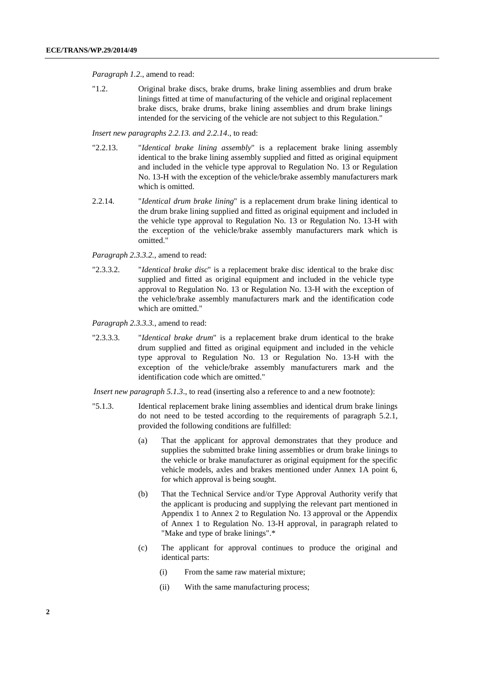*Paragraph 1.2.*, amend to read:

"1.2. Original brake discs, brake drums, brake lining assemblies and drum brake linings fitted at time of manufacturing of the vehicle and original replacement brake discs, brake drums, brake lining assemblies and drum brake linings intended for the servicing of the vehicle are not subject to this Regulation."

*Insert new paragraphs 2.2.13. and 2.2.14*., to read:

- "2.2.13. "*Identical brake lining assembly*" is a replacement brake lining assembly identical to the brake lining assembly supplied and fitted as original equipment and included in the vehicle type approval to Regulation No. 13 or Regulation No. 13-H with the exception of the vehicle/brake assembly manufacturers mark which is omitted.
- 2.2.14. "*Identical drum brake lining*" is a replacement drum brake lining identical to the drum brake lining supplied and fitted as original equipment and included in the vehicle type approval to Regulation No. 13 or Regulation No. 13-H with the exception of the vehicle/brake assembly manufacturers mark which is omitted."

*Paragraph 2.3.3.2.,* amend to read:

"2.3.3.2. "*Identical brake disc*" is a replacement brake disc identical to the brake disc supplied and fitted as original equipment and included in the vehicle type approval to Regulation No. 13 or Regulation No. 13-H with the exception of the vehicle/brake assembly manufacturers mark and the identification code which are omitted."

*Paragraph 2.3.3.3.,* amend to read:

"2.3.3.3. "*Identical brake drum*" is a replacement brake drum identical to the brake drum supplied and fitted as original equipment and included in the vehicle type approval to Regulation No. 13 or Regulation No. 13-H with the exception of the vehicle/brake assembly manufacturers mark and the identification code which are omitted."

*Insert new paragraph 5.1.3.*, to read (inserting also a reference to and a new footnote):

- "5.1.3. Identical replacement brake lining assemblies and identical drum brake linings do not need to be tested according to the requirements of paragraph 5.2.1, provided the following conditions are fulfilled:
	- (a) That the applicant for approval demonstrates that they produce and supplies the submitted brake lining assemblies or drum brake linings to the vehicle or brake manufacturer as original equipment for the specific vehicle models, axles and brakes mentioned under Annex 1A point 6, for which approval is being sought.
	- (b) That the Technical Service and/or Type Approval Authority verify that the applicant is producing and supplying the relevant part mentioned in Appendix 1 to Annex 2 to Regulation No. 13 approval or the Appendix of Annex 1 to Regulation No. 13-H approval, in paragraph related to "Make and type of brake linings".\*
	- (c) The applicant for approval continues to produce the original and identical parts:
		- (i) From the same raw material mixture;
		- (ii) With the same manufacturing process;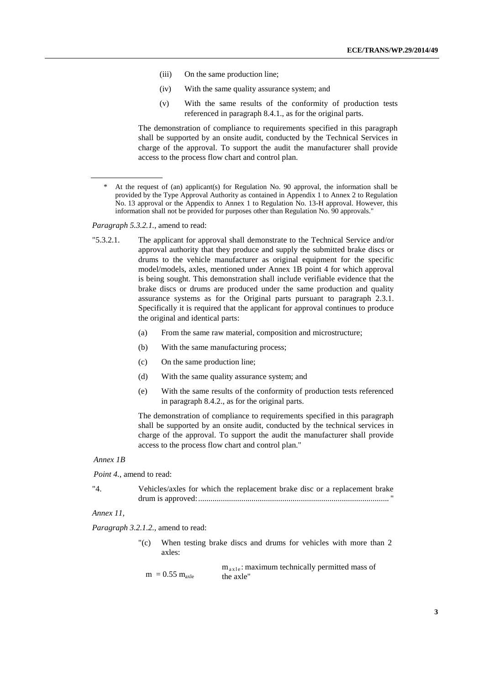- (iii) On the same production line;
- (iv) With the same quality assurance system; and
- (v) With the same results of the conformity of production tests referenced in paragraph 8.4.1., as for the original parts.

The demonstration of compliance to requirements specified in this paragraph shall be supported by an onsite audit, conducted by the Technical Services in charge of the approval. To support the audit the manufacturer shall provide access to the process flow chart and control plan.

*Paragraph 5.3.2.1.,* amend to read:

- "5.3.2.1. The applicant for approval shall demonstrate to the Technical Service and/or approval authority that they produce and supply the submitted brake discs or drums to the vehicle manufacturer as original equipment for the specific model/models, axles, mentioned under Annex 1B point 4 for which approval is being sought. This demonstration shall include verifiable evidence that the brake discs or drums are produced under the same production and quality assurance systems as for the Original parts pursuant to paragraph 2.3.1. Specifically it is required that the applicant for approval continues to produce the original and identical parts:
	- (a) From the same raw material, composition and microstructure;
	- (b) With the same manufacturing process;
	- (c) On the same production line;
	- (d) With the same quality assurance system; and
	- (e) With the same results of the conformity of production tests referenced in paragraph 8.4.2., as for the original parts.

The demonstration of compliance to requirements specified in this paragraph shall be supported by an onsite audit, conducted by the technical services in charge of the approval. To support the audit the manufacturer shall provide access to the process flow chart and control plan."

#### *Annex 1B*

*Point 4.*, amend to read:

| "4" | Vehicles/axles for which the replacement brake disc or a replacement brake |  |
|-----|----------------------------------------------------------------------------|--|
|     |                                                                            |  |

*Annex 11,* 

*Paragraph 3.2.1.2.,* amend to read:

- "(c) When testing brake discs and drums for vehicles with more than 2 axles:
	- $m = 0.55 m_{\text{axle}}$  $m_{\text{axle}}$ : maximum technically permitted mass of the axle"

At the request of (an) applicant(s) for Regulation No. 90 approval, the information shall be provided by the Type Approval Authority as contained in Appendix 1 to Annex 2 to Regulation No. 13 approval or the Appendix to Annex 1 to Regulation No. 13-H approval. However, this information shall not be provided for purposes other than Regulation No. 90 approvals."